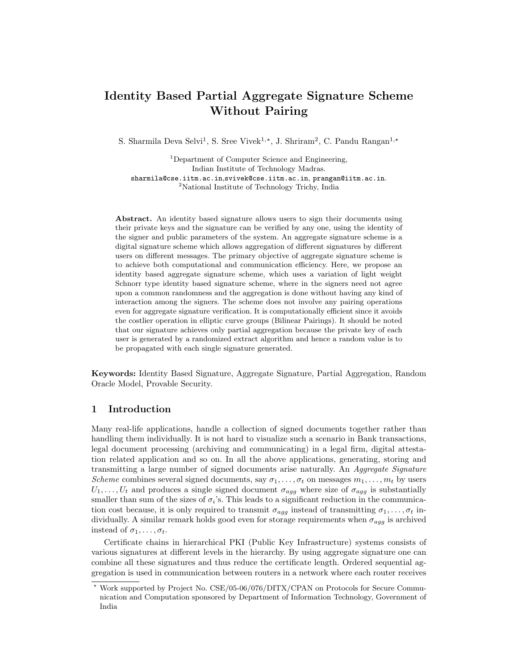# Identity Based Partial Aggregate Signature Scheme Without Pairing

S. Sharmila Deva Selvi<sup>1</sup>, S. Sree Vivek<sup>1,\*</sup>, J. Shriram<sup>2</sup>, C. Pandu Rangan<sup>1,\*</sup>

<sup>1</sup>Department of Computer Science and Engineering, Indian Institute of Technology Madras. sharmila@cse.iitm.ac.in,svivek@cse.iitm.ac.in, prangan@iitm.ac.in. <sup>2</sup>National Institute of Technology Trichy, India

Abstract. An identity based signature allows users to sign their documents using their private keys and the signature can be verified by any one, using the identity of the signer and public parameters of the system. An aggregate signature scheme is a digital signature scheme which allows aggregation of different signatures by different users on different messages. The primary objective of aggregate signature scheme is to achieve both computational and communication efficiency. Here, we propose an identity based aggregate signature scheme, which uses a variation of light weight Schnorr type identity based signature scheme, where in the signers need not agree upon a common randomness and the aggregation is done without having any kind of interaction among the signers. The scheme does not involve any pairing operations even for aggregate signature verification. It is computationally efficient since it avoids the costlier operation in elliptic curve groups (Bilinear Pairings). It should be noted that our signature achieves only partial aggregation because the private key of each user is generated by a randomized extract algorithm and hence a random value is to be propagated with each single signature generated.

Keywords: Identity Based Signature, Aggregate Signature, Partial Aggregation, Random Oracle Model, Provable Security.

### 1 Introduction

Many real-life applications, handle a collection of signed documents together rather than handling them individually. It is not hard to visualize such a scenario in Bank transactions, legal document processing (archiving and communicating) in a legal firm, digital attestation related application and so on. In all the above applications, generating, storing and transmitting a large number of signed documents arise naturally. An *Aggregate Signature Scheme* combines several signed documents, say  $\sigma_1, \ldots, \sigma_t$  on messages  $m_1, \ldots, m_t$  by users  $U_1, \ldots, U_t$  and produces a single signed document  $\sigma_{agg}$  where size of  $\sigma_{agg}$  is substantially smaller than sum of the sizes of  $\sigma_i$ 's. This leads to a significant reduction in the communication cost because, it is only required to transmit  $\sigma_{agg}$  instead of transmitting  $\sigma_1, \ldots, \sigma_t$  individually. A similar remark holds good even for storage requirements when  $\sigma_{agg}$  is archived instead of  $\sigma_1, \ldots, \sigma_t$ .

Certificate chains in hierarchical PKI (Public Key Infrastructure) systems consists of various signatures at different levels in the hierarchy. By using aggregate signature one can combine all these signatures and thus reduce the certificate length. Ordered sequential aggregation is used in communication between routers in a network where each router receives

<sup>!</sup> Work supported by Project No. CSE/05-06/076/DITX/CPAN on Protocols for Secure Communication and Computation sponsored by Department of Information Technology, Government of India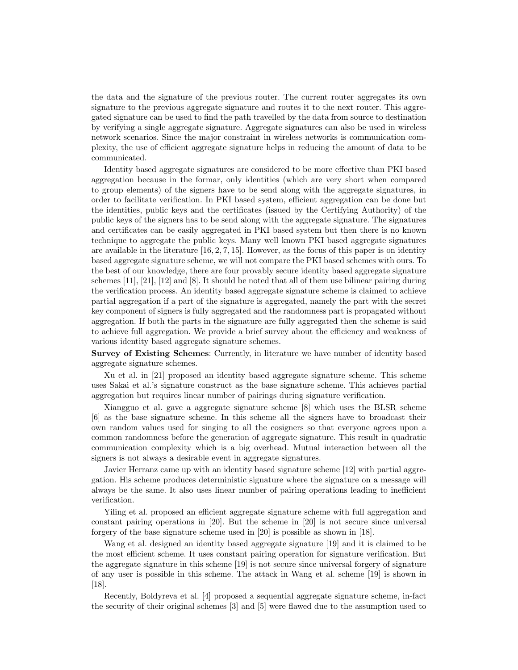the data and the signature of the previous router. The current router aggregates its own signature to the previous aggregate signature and routes it to the next router. This aggregated signature can be used to find the path travelled by the data from source to destination by verifying a single aggregate signature. Aggregate signatures can also be used in wireless network scenarios. Since the major constraint in wireless networks is communication complexity, the use of efficient aggregate signature helps in reducing the amount of data to be communicated.

Identity based aggregate signatures are considered to be more effective than PKI based aggregation because in the formar, only identities (which are very short when compared to group elements) of the signers have to be send along with the aggregate signatures, in order to facilitate verification. In PKI based system, efficient aggregation can be done but the identities, public keys and the certificates (issued by the Certifying Authority) of the public keys of the signers has to be send along with the aggregate signature. The signatures and certificates can be easily aggregated in PKI based system but then there is no known technique to aggregate the public keys. Many well known PKI based aggregate signatures are available in the literature  $[16, 2, 7, 15]$ . However, as the focus of this paper is on identity based aggregate signature scheme, we will not compare the PKI based schemes with ours. To the best of our knowledge, there are four provably secure identity based aggregate signature schemes  $[11]$ ,  $[21]$ ,  $[12]$  and  $[8]$ . It should be noted that all of them use bilinear pairing during the verification process. An identity based aggregate signature scheme is claimed to achieve partial aggregation if a part of the signature is aggregated, namely the part with the secret key component of signers is fully aggregated and the randomness part is propagated without aggregation. If both the parts in the signature are fully aggregated then the scheme is said to achieve full aggregation. We provide a brief survey about the efficiency and weakness of various identity based aggregate signature schemes.

Survey of Existing Schemes: Currently, in literature we have number of identity based aggregate signature schemes.

Xu et al. in [21] proposed an identity based aggregate signature scheme. This scheme uses Sakai et al.'s signature construct as the base signature scheme. This achieves partial aggregation but requires linear number of pairings during signature verification.

Xiangguo et al. gave a aggregate signature scheme [8] which uses the BLSR scheme [6] as the base signature scheme. In this scheme all the signers have to broadcast their own random values used for singing to all the cosigners so that everyone agrees upon a common randomness before the generation of aggregate signature. This result in quadratic communication complexity which is a big overhead. Mutual interaction between all the signers is not always a desirable event in aggregate signatures.

Javier Herranz came up with an identity based signature scheme [12] with partial aggregation. His scheme produces deterministic signature where the signature on a message will always be the same. It also uses linear number of pairing operations leading to inefficient verification.

Yiling et al. proposed an efficient aggregate signature scheme with full aggregation and constant pairing operations in [20]. But the scheme in [20] is not secure since universal forgery of the base signature scheme used in [20] is possible as shown in [18].

Wang et al. designed an identity based aggregate signature [19] and it is claimed to be the most efficient scheme. It uses constant pairing operation for signature verification. But the aggregate signature in this scheme [19] is not secure since universal forgery of signature of any user is possible in this scheme. The attack in Wang et al. scheme [19] is shown in [18].

Recently, Boldyreva et al. [4] proposed a sequential aggregate signature scheme, in-fact the security of their original schemes [3] and [5] were flawed due to the assumption used to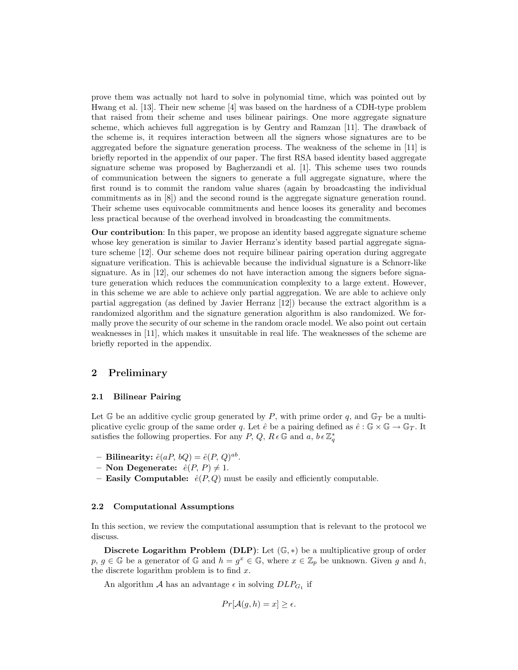prove them was actually not hard to solve in polynomial time, which was pointed out by Hwang et al. [13]. Their new scheme [4] was based on the hardness of a CDH-type problem that raised from their scheme and uses bilinear pairings. One more aggregate signature scheme, which achieves full aggregation is by Gentry and Ramzan [11]. The drawback of the scheme is, it requires interaction between all the signers whose signatures are to be aggregated before the signature generation process. The weakness of the scheme in [11] is briefly reported in the appendix of our paper. The first RSA based identity based aggregate signature scheme was proposed by Bagherzandi et al. [1]. This scheme uses two rounds of communication between the signers to generate a full aggregate signature, where the first round is to commit the random value shares (again by broadcasting the individual commitments as in [8]) and the second round is the aggregate signature generation round. Their scheme uses equivocable commitments and hence looses its generality and becomes less practical because of the overhead involved in broadcasting the commitments.

Our contribution: In this paper, we propose an identity based aggregate signature scheme whose key generation is similar to Javier Herranz's identity based partial aggregate signature scheme [12]. Our scheme does not require bilinear pairing operation during aggregate signature verification. This is achievable because the individual signature is a Schnorr-like signature. As in [12], our schemes do not have interaction among the signers before signature generation which reduces the communication complexity to a large extent. However, in this scheme we are able to achieve only partial aggregation. We are able to achieve only partial aggregation (as defined by Javier Herranz [12]) because the extract algorithm is a randomized algorithm and the signature generation algorithm is also randomized. We formally prove the security of our scheme in the random oracle model. We also point out certain weaknesses in [11], which makes it unsuitable in real life. The weaknesses of the scheme are briefly reported in the appendix.

## 2 Preliminary

#### 2.1 Bilinear Pairing

Let G be an additive cyclic group generated by P, with prime order q, and  $\mathbb{G}_T$  be a multiplicative cyclic group of the same order q. Let  $\hat{e}$  be a pairing defined as  $\hat{e} : \mathbb{G} \times \mathbb{G} \to \mathbb{G}_T$ . It satisfies the following properties. For any P, Q,  $R \in \mathbb{G}$  and  $a, b \in \mathbb{Z}_q^*$ 

- Bilinearity:  $\hat{e}(aP, bQ) = \hat{e}(P, Q)^{ab}$ .
- Non Degenerate:  $\hat{e}(P, P) \neq 1$ .
- Easily Computable:  $\hat{e}(P,Q)$  must be easily and efficiently computable.

#### 2.2 Computational Assumptions

In this section, we review the computational assumption that is relevant to the protocol we discuss.

Discrete Logarithm Problem (DLP): Let  $(\mathbb{G},*)$  be a multiplicative group of order  $p, g \in \mathbb{G}$  be a generator of  $\mathbb{G}$  and  $h = g^x \in \mathbb{G}$ , where  $x \in \mathbb{Z}_p$  be unknown. Given g and h, the discrete logarithm problem is to find  $x$ .

An algorithm A has an advantage  $\epsilon$  in solving  $DLP_{G_1}$  if

$$
Pr[\mathcal{A}(g,h) = x] \ge \epsilon.
$$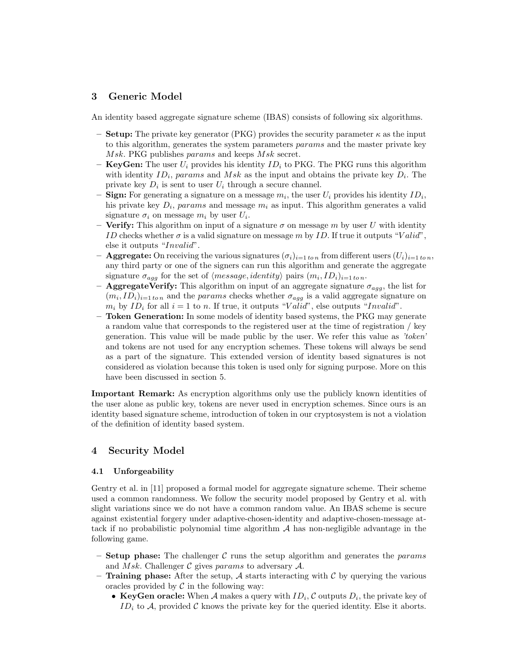# 3 Generic Model

An identity based aggregate signature scheme (IBAS) consists of following six algorithms.

- **Setup:** The private key generator (PKG) provides the security parameter  $\kappa$  as the input to this algorithm, generates the system parameters params and the master private key Msk. PKG publishes params and keeps Msk secret.
- **KeyGen:** The user  $U_i$  provides his identity  $ID_i$  to PKG. The PKG runs this algorithm with identity  $ID_i$ , params and Msk as the input and obtains the private key  $D_i$ . The private key  $D_i$  is sent to user  $U_i$  through a secure channel.
- **Sign:** For generating a signature on a message  $m_i$ , the user  $U_i$  provides his identity  $ID_i$ , his private key  $D_i$ , params and message  $m_i$  as input. This algorithm generates a valid signature  $\sigma_i$  on message  $m_i$  by user  $U_i$ .
- Verify: This algorithm on input of a signature  $\sigma$  on message m by user U with identity ID checks whether  $\sigma$  is a valid signature on message m by ID. If true it outputs "Valid", else it outputs "Invalid".
- **Aggregate:** On receiving the various signatures  $(\sigma_i)_{i=1 \text{ ton}}$  from different users  $(U_i)_{i=1 \text{ ton}}$ , any third party or one of the signers can run this algorithm and generate the aggregate signature  $\sigma_{agg}$  for the set of  $\langle message, identity \rangle$  pairs  $(m_i, ID_i)_{i=1 \text{ ton}}$ .
- **AggregateVerify:** This algorithm on input of an aggregate signature  $\sigma_{agg}$ , the list for  $(m_i, ID_i)_{i=1 \text{ to } n}$  and the params checks whether  $\sigma_{agg}$  is a valid aggregate signature on  $m_i$  by  $ID_i$  for all  $i = 1$  to n. If true, it outputs "Valid", else outputs "Invalid".
- Token Generation: In some models of identity based systems, the PKG may generate a random value that corresponds to the registered user at the time of registration / key generation. This value will be made public by the user. We refer this value as *'token'* and tokens are not used for any encryption schemes. These tokens will always be send as a part of the signature. This extended version of identity based signatures is not considered as violation because this token is used only for signing purpose. More on this have been discussed in section 5.

Important Remark: As encryption algorithms only use the publicly known identities of the user alone as public key, tokens are never used in encryption schemes. Since ours is an identity based signature scheme, introduction of token in our cryptosystem is not a violation of the definition of identity based system.

### 4 Security Model

### 4.1 Unforgeability

Gentry et al. in [11] proposed a formal model for aggregate signature scheme. Their scheme used a common randomness. We follow the security model proposed by Gentry et al. with slight variations since we do not have a common random value. An IBAS scheme is secure against existential forgery under adaptive-chosen-identity and adaptive-chosen-message attack if no probabilistic polynomial time algorithm  $A$  has non-negligible advantage in the following game.

- **Setup phase:** The challenger C runs the setup algorithm and generates the params and Msk. Challenger  $\mathcal C$  gives params to adversary  $\mathcal A$ .
- Training phase: After the setup, A starts interacting with C by querying the various oracles provided by  $\mathcal C$  in the following way:
	- KeyGen oracle: When A makes a query with  $ID_i$ , C outputs  $D_i$ , the private key of ID<sub>i</sub> to A, provided C knows the private key for the queried identity. Else it aborts.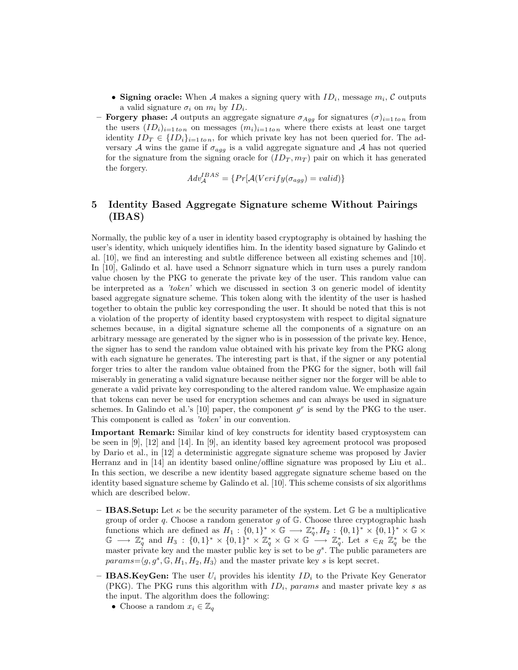- Signing oracle: When A makes a signing query with  $ID_i$ , message  $m_i$ , C outputs a valid signature  $\sigma_i$  on  $m_i$  by  $ID_i$ .
- **Forgery phase:** A outputs an aggregate signature  $\sigma_{Aqg}$  for signatures  $(\sigma)_{i=1 \text{ to } n}$  from the users  $(ID_i)_{i=1 \text{ ton}}$  on messages  $(m_i)_{i=1 \text{ ton}}$  where there exists at least one target identity  $ID_T \in \{ID_i\}_{i=1 \text{ to } n}$ , for which private key has not been queried for. The adversary A wins the game if  $\sigma_{agg}$  is a valid aggregate signature and A has not queried for the signature from the signing oracle for  $(ID_T, m_T)$  pair on which it has generated the forgery.

$$
Adv_{\mathcal{A}}^{IBAS} = \{Pr[\mathcal{A}(Verify(\sigma_{agg}) = valid)\}\
$$

# 5 Identity Based Aggregate Signature scheme Without Pairings (IBAS)

Normally, the public key of a user in identity based cryptography is obtained by hashing the user's identity, which uniquely identifies him. In the identity based signature by Galindo et al. [10], we find an interesting and subtle difference between all existing schemes and [10]. In [10], Galindo et al. have used a Schnorr signature which in turn uses a purely random value chosen by the PKG to generate the private key of the user. This random value can be interpreted as a *'token'* which we discussed in section 3 on generic model of identity based aggregate signature scheme. This token along with the identity of the user is hashed together to obtain the public key corresponding the user. It should be noted that this is not a violation of the property of identity based cryptosystem with respect to digital signature schemes because, in a digital signature scheme all the components of a signature on an arbitrary message are generated by the signer who is in possession of the private key. Hence, the signer has to send the random value obtained with his private key from the PKG along with each signature he generates. The interesting part is that, if the signer or any potential forger tries to alter the random value obtained from the PKG for the signer, both will fail miserably in generating a valid signature because neither signer nor the forger will be able to generate a valid private key corresponding to the altered random value. We emphasize again that tokens can never be used for encryption schemes and can always be used in signature schemes. In Galindo et al.'s [10] paper, the component  $g<sup>r</sup>$  is send by the PKG to the user. This component is called as *'token'* in our convention.

Important Remark: Similar kind of key constructs for identity based cryptosystem can be seen in [9], [12] and [14]. In [9], an identity based key agreement protocol was proposed by Dario et al., in [12] a deterministic aggregate signature scheme was proposed by Javier Herranz and in [14] an identity based online/offline signature was proposed by Liu et al.. In this section, we describe a new identity based aggregate signature scheme based on the identity based signature scheme by Galindo et al. [10]. This scheme consists of six algorithms which are described below.

- **IBAS.Setup:** Let  $\kappa$  be the security parameter of the system. Let  $\mathbb{G}$  be a multiplicative group of order  $q$ . Choose a random generator  $q$  of  $\mathbb{G}$ . Choose three cryptographic hash functions which are defined as  $H_1: \{0,1\}^* \times \mathbb{G} \longrightarrow \mathbb{Z}_q^*, H_2: \{0,1\}^* \times \{0,1\}^* \times \mathbb{G} \times$  $\mathbb{G} \longrightarrow \mathbb{Z}_q^*$  and  $H_3: \{0,1\}^* \times \{0,1\}^* \times \mathbb{Z}_q^* \times \mathbb{G} \times \mathbb{G} \longrightarrow \mathbb{Z}_q^*$ . Let  $s \in_R \mathbb{Z}_q^*$  be the master private key and the master public key is set to be  $g<sup>s</sup>$ . The public parameters are  $params = \langle g, g^s, \mathbb{G}, H_1, H_2, H_3 \rangle$  and the master private key s is kept secret.
- IBAS.KeyGen: The user  $U_i$  provides his identity  $ID_i$  to the Private Key Generator (PKG). The PKG runs this algorithm with  $ID_i$ , params and master private key s as the input. The algorithm does the following:
	- Choose a random  $x_i \in \mathbb{Z}_q$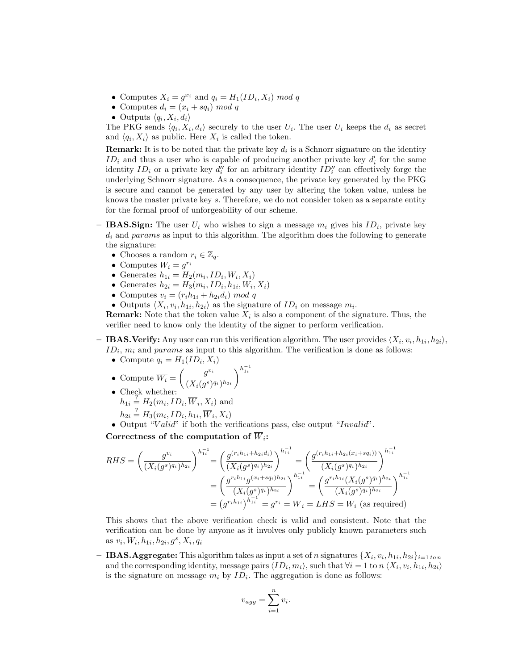- Computes  $X_i = g^{x_i}$  and  $q_i = H_1(ID_i, X_i) \mod q$
- Computes  $d_i = (x_i + sq_i) \mod q$
- Outputs  $\langle q_i, X_i, d_i \rangle$

The PKG sends  $\langle q_i, X_i, d_i \rangle$  securely to the user  $U_i$ . The user  $U_i$  keeps the  $d_i$  as secret and  $\langle q_i, X_i \rangle$  as public. Here  $X_i$  is called the token.

**Remark:** It is to be noted that the private key  $d_i$  is a Schnorr signature on the identity  $ID_i$  and thus a user who is capable of producing another private key  $d_i$  for the same identity  $ID_i$  or a private key  $d''_i$  for an arbitrary identity  $ID''_i$  can effectively forge the underlying Schnorr signature. As a consequence, the private key generated by the PKG is secure and cannot be generated by any user by altering the token value, unless he knows the master private key s. Therefore, we do not consider token as a separate entity for the formal proof of unforgeability of our scheme.

- IBAS. Sign: The user  $U_i$  who wishes to sign a message  $m_i$  gives his  $ID_i$ , private key  $d_i$  and params as input to this algorithm. The algorithm does the following to generate the signature:
	- Chooses a random  $r_i \in \mathbb{Z}_q$ .
	- Computes  $W_i = g^{r_i}$
	- Generates  $h_{1i} = H_2(m_i, ID_i, W_i, X_i)$
	- Generates  $h_{2i} = H_3(m_i, ID_i, h_{1i}, W_i, X_i)$
	- Computes  $v_i = (r_i h_{1i} + h_{2i} d_i) \mod q$

• Outputs  $\langle X_i, v_i, h_{1i}, h_{2i} \rangle$  as the signature of  $ID_i$  on message  $m_i$ .

**Remark:** Note that the token value  $X_i$  is also a component of the signature. Thus, the verifier need to know only the identity of the signer to perform verification.

- IBAS. Verify: Any user can run this verification algorithm. The user provides  $\langle X_i, v_i, h_{1i}, h_{2i} \rangle$ ,  $ID_i$ ,  $m_i$  and params as input to this algorithm. The verification is done as follows:
	- Compute  $q_i = H_1(ID_i, X_i)$
	- Compute  $\overline{W_i} =$  $\int g^{v_i}$  $(X_i(g^s)^{q_i})^{h_{2i}}$  $\setminus^{h_{1i}^{-1}}$
	- Check whether:  $h_{1i} = H_2(m_i, ID_i, \overline{W}_i, X_i)$  and

$$
h_{2i} \stackrel{?}{=} H_3(m_i, ID_i, h_{1i}, \overline{W}_i, X_i)
$$

• Output "Valid" if both the verifications pass, else output "Invalid".

Correctness of the computation of  $\overline{W}_i$ :

$$
RHS = \left(\frac{g^{v_i}}{(X_i(g^s)^{q_i})^{h_{2i}}}\right)^{h_{1i}^{-1}} = \left(\frac{g^{(r_i h_{1i} + h_{2i}d_i)}}{(X_i(g^s)^{q_i})^{h_{2i}}}\right)^{h_{1i}^{-1}} = \left(\frac{g^{(r_i h_{1i} + h_{2i}(x_i + sq_i))}}{(X_i(g^s)^{q_i})^{h_{2i}}}\right)^{h_{1i}^{-1}}
$$

$$
= \left(\frac{g^{r_i h_{1i}}g^{(x_i + sq_i)h_{2i}}}{(X_i(g^s)^{q_i})^{h_{2i}}}\right)^{h_{1i}^{-1}} = \left(\frac{g^{r_i h_{1i}}(X_i(g^s)^{q_i})^{h_{2i}}}{(X_i(g^s)^{q_i})^{h_{2i}}}\right)^{h_{1i}^{-1}}
$$

$$
= (g^{r_i h_{1i}})^{h_{1i}^{-1}} = g^{r_i} = \overline{W}_i = LHS = W_i \text{ (as required)}
$$

This shows that the above verification check is valid and consistent. Note that the verification can be done by anyone as it involves only publicly known parameters such as  $v_i, W_i, h_{1i}, h_{2i}, g^s, X_i, q_i$ 

**– IBAS.** Aggregate: This algorithm takes as input a set of n signatures  $\{X_i, v_i, h_{1i}, h_{2i}\}_{i=1 \text{ to } n}$ and the corresponding identity, message pairs  $\langle ID_i, m_i \rangle$ , such that  $\forall i = 1$  to  $n \langle X_i, v_i, h_{1i}, h_{2i} \rangle$ is the signature on message  $m_i$  by  $ID_i$ . The aggregation is done as follows:

$$
v_{agg} = \sum_{i=1}^{n} v_i.
$$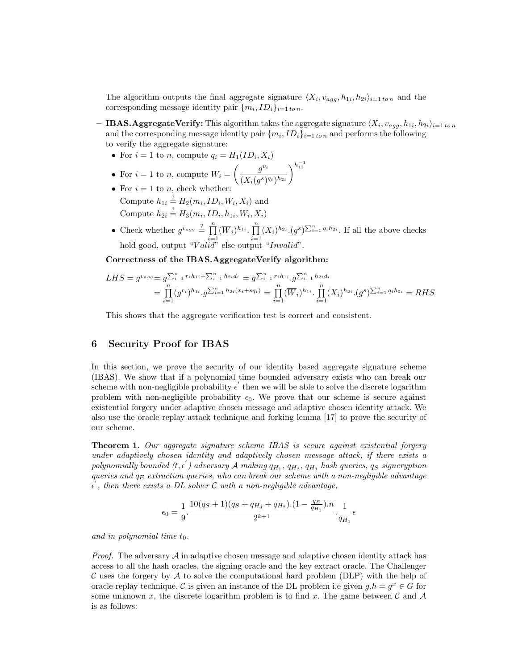The algorithm outputs the final aggregate signature  $\langle X_i, v_{agg}, h_{1i}, h_{2i} \rangle_{i=1 \text{ ton}}$  and the corresponding message identity pair  $\{m_i, ID_i\}_{i=1 \text{ to } n}$ .

**– IBAS.AggregateVerify:** This algorithm takes the aggregate signature  $\langle X_i, v_{agg}, h_{1i}, h_{2i} \rangle_{i=1 \text{ to } n}$ and the corresponding message identity pair  $\{m_i, ID_i\}_{i=1 \text{ to } n}$  and performs the following to verify the aggregate signature:

- For  $i = 1$  to n, compute  $q_i = H_1(ID_i, X_i)$
- For  $i = 1$  to n, compute  $\overline{W_i} =$  $\int g^{v_i}$  $(X_i(g^s)^{q_i})^{h_{2i}}$  $\setminus^{h_{1i}^{-1}}$
- For  $i = 1$  to  $n_i$  check whether: Compute  $h_{1i} \stackrel{?}{=} H_2(m_i, ID_i, W_i, X_i)$  and Compute  $h_{2i} \stackrel{?}{=} H_3(m_i, ID_i, h_{1i}, W_i, X_i)$
- Check whether  $g^{v_{agg}} \stackrel{?}{=} \prod_{j=1}^{n}$  $\prod_{i=1}^n (\overline{W}_i)^{h_{1i}} \cdot \prod_{i=1}^n$  $\prod_{i=1}^n (X_i)^{h_{2i}} \cdot (g^s)^{\sum_{i=1}^n q_i h_{2i}}$ . If all the above checks hold good, output "Valid" else output "Invalid".

Correctness of the IBAS.AggregateVerify algorithm:

$$
LHS = g^{v_{agg}} = g^{\sum_{i=1}^{n} r_i h_{1i} + \sum_{i=1}^{n} h_{2i} d_i} = g^{\sum_{i=1}^{n} r_i h_{1i}} \cdot g^{\sum_{i=1}^{n} h_{2i} d_i}
$$
  
= 
$$
\prod_{i=1}^{n} (g^{r_i})^{h_{1i}} \cdot g^{\sum_{i=1}^{n} h_{2i}(x_i + sq_i)} = \prod_{i=1}^{n} (\overline{W}_i)^{h_{1i}} \cdot \prod_{i=1}^{n} (X_i)^{h_{2i}} \cdot (g^s)^{\sum_{i=1}^{n} q_i h_{2i}} = RHS
$$

This shows that the aggregate verification test is correct and consistent.

## 6 Security Proof for IBAS

In this section, we prove the security of our identity based aggregate signature scheme (IBAS). We show that if a polynomial time bounded adversary exists who can break our scheme with non-negligible probability  $\epsilon^{'}$  then we will be able to solve the discrete logarithm problem with non-negligible probability  $\epsilon_0$ . We prove that our scheme is secure against existential forgery under adaptive chosen message and adaptive chosen identity attack. We also use the oracle replay attack technique and forking lemma [17] to prove the security of our scheme.

Theorem 1. *Our aggregate signature scheme IBAS is secure against existential forgery under adaptively chosen identity and adaptively chosen message attack, if there exists a*  $polynomially\ boundary\ (t, \epsilon^{'})\ accuracy\ A\ making\ q_{H_1},\ q_{H_2},\ q_{H_3}\ hash\ queries, \ q_S\ significantly\ for\ a\ single\ of\ the\ (t, \epsilon^{'})\ accuracy\ A\ making\ q_{H_1},\ q_{H_2},\ q_{H_3}\ has\ a\ average\ of\ a\ single\ of\ a\ single\ of\ a\ single\ of\ a\ single\ of\ a\ single\ of\ a\ single\ of\ a\ single\ of\ a\ single\ of\ a\ single\ of\ a\ single\ of\ a\ single\ of\ a\ single\ of\ a\ single\ of\ a\ single\ of\ a\ single\ of\ a\ single\ of\ a\ single\ of\ a\ single\ of\ a\ single\ of\$  $q$ *ueries* and  $q_E$  *extraction queries, who can break our scheme with a non-negligible advantage*  $\epsilon'$ , then there exists a DL solver  $\mathcal C$  with a non-negligible advantage,

$$
\epsilon_0 = \frac{1}{9} \cdot \frac{10(q_S + 1)(q_S + q_{H_3} + q_{H_2}) \cdot (1 - \frac{q_E}{q_{H_1}}) \cdot n}{2^{k+1}} \cdot \frac{1}{q_{H_1}} \epsilon
$$

and in polynomial time  $t_0$ .

*Proof.* The adversary  $\mathcal A$  in adaptive chosen message and adaptive chosen identity attack has access to all the hash oracles, the signing oracle and the key extract oracle. The Challenger C uses the forgery by A to solve the computational hard problem (DLP) with the help of oracle replay technique. C is given an instance of the DL problem i.e given  $g,h = g^x \in G$  for some unknown x, the discrete logarithm problem is to find x. The game between  $\mathcal C$  and  $\mathcal A$ is as follows: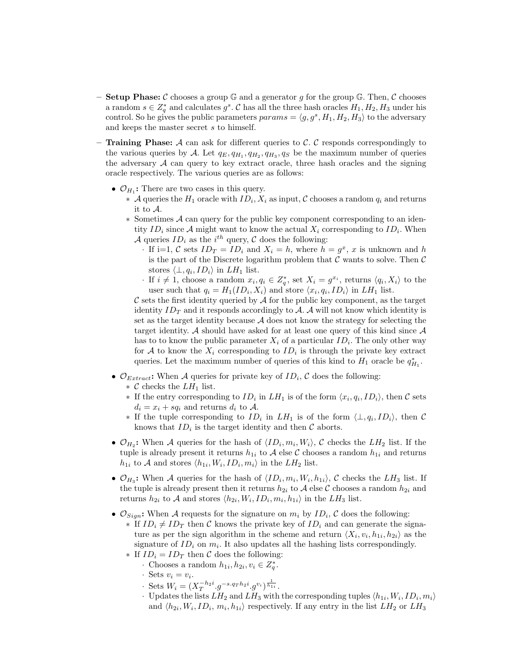- **Setup Phase:** C chooses a group  $\mathbb{G}$  and a generator g for the group  $\mathbb{G}$ . Then, C chooses a random  $s \in Z_q^*$  and calculates  $g^s$ . C has all the three hash oracles  $H_1, H_2, H_3$  under his control. So he gives the public parameters  $params = \langle g, g^s, H_1, H_2, H_3 \rangle$  to the adversary and keeps the master secret s to himself.
- **Training Phase:** A can ask for different queries to C. C responds correspondingly to the various queries by A. Let  $q_E, q_{H_1}, q_{H_2}, q_{H_3}, q_S$  be the maximum number of queries the adversary  $A$  can query to key extract oracle, three hash oracles and the signing oracle respectively. The various queries are as follows:
	- $\mathcal{O}_{H_1}$ : There are two cases in this query.
		- ∗ A queries the  $H_1$  oracle with  $ID_i$ ,  $X_i$  as input,  $\mathcal C$  chooses a random  $q_i$  and returns it to A.
		- ∗ Sometimes A can query for the public key component corresponding to an identity  $ID_i$  since A might want to know the actual  $X_i$  corresponding to  $ID_i$ . When A queries  $ID_i$  as the  $i^{th}$  query, C does the following:
			- · If i=1, C sets  $ID_T = ID_i$  and  $X_i = h$ , where  $h = g^x$ , x is unknown and h is the part of the Discrete logarithm problem that  $C$  wants to solve. Then  $C$ stores  $\langle \perp, q_i, ID_i \rangle$  in  $LH_1$  list.
			- If  $i \neq 1$ , choose a random  $x_i, q_i \in Z_q^*$ , set  $X_i = g^{x_i}$ , returns  $\langle q_i, X_i \rangle$  to the user such that  $q_i = H_1(ID_i, X_i)$  and store  $\langle x_i, q_i, ID_i \rangle$  in  $LH_1$  list.

 $\mathcal C$  sets the first identity queried by  $\mathcal A$  for the public key component, as the target identity  $ID_T$  and it responds accordingly to A. A will not know which identity is set as the target identity because  $A$  does not know the strategy for selecting the target identity. A should have asked for at least one query of this kind since  $A$ has to to know the public parameter  $X_i$  of a particular  $ID_i$ . The only other way for A to know the  $X_i$  corresponding to  $ID_i$  is through the private key extract queries. Let the maximum number of queries of this kind to  $H_1$  oracle be  $q_{H_1}^*$ .

- $\mathcal{O}_{Extract}$ : When A queries for private key of  $ID_i$ , C does the following:
	- $\ast$  C checks the  $LH_1$  list.
	- ∗ If the entry corresponding to  $ID_i$  in  $LH_1$  is of the form  $\langle x_i, q_i, ID_i \rangle$ , then C sets  $d_i = x_i + sq_i$  and returns  $d_i$  to A.
	- $∗$  If the tuple corresponding to  $ID_i$  in  $LH_1$  is of the form  $\langle \perp, q_i, ID_i \rangle$ , then C knows that  $ID_i$  is the target identity and then  $C$  aborts.
- $\mathcal{O}_{H_2}$ : When A queries for the hash of  $\langle ID_i, m_i, W_i \rangle$ , C checks the  $LH_2$  list. If the tuple is already present it returns  $h_{1i}$  to A else C chooses a random  $h_{1i}$  and returns  $h_{1i}$  to A and stores  $\langle h_{1i}, W_i, ID_i, m_i \rangle$  in the  $LH_2$  list.
- $\mathcal{O}_{H_3}$ : When A queries for the hash of  $\langle ID_i, m_i, W_i, h_{1i} \rangle$ , C checks the  $LH_3$  list. If the tuple is already present then it returns  $h_{2i}$  to A else C chooses a random  $h_{2i}$  and returns  $h_{2i}$  to A and stores  $\langle h_{2i}, W_i, ID_i, m_i, h_{1i} \rangle$  in the  $LH_3$  list.
- $\mathcal{O}_{Sign}$ : When A requests for the signature on  $m_i$  by  $ID_i$ , C does the following:  $∗$  If  $ID_i ≠ ID_T$  then C knows the private key of  $ID_i$  and can generate the signature as per the sign algorithm in the scheme and return  $\langle X_i, v_i, h_{1i}, h_{2i} \rangle$  as the signature of  $ID_i$  on  $m_i$ . It also updates all the hashing lists correspondingly.
	- ∗ If  $ID_i = ID_T$  then C does the following:
		- · Chooses a random  $h_{1i}, h_{2i}, v_i \in Z_q^*$ .
		- · Sets  $v_i = v_i$ .
		- Sets  $W_i = (X_T^{-h_2 i} \cdot g^{-s \cdot q_T h_2 i} \cdot g^{v_i})^{\frac{1}{h_{1i}}}$ .
		- · Updates the lists  $LH_2$  and  $LH_3$  with the corresponding tuples  $\langle h_{1i}, W_i, ID_i, m_i \rangle$ and  $\langle h_{2i}, W_i, ID_i, m_i, h_{1i} \rangle$  respectively. If any entry in the list  $LH_2$  or  $LH_3$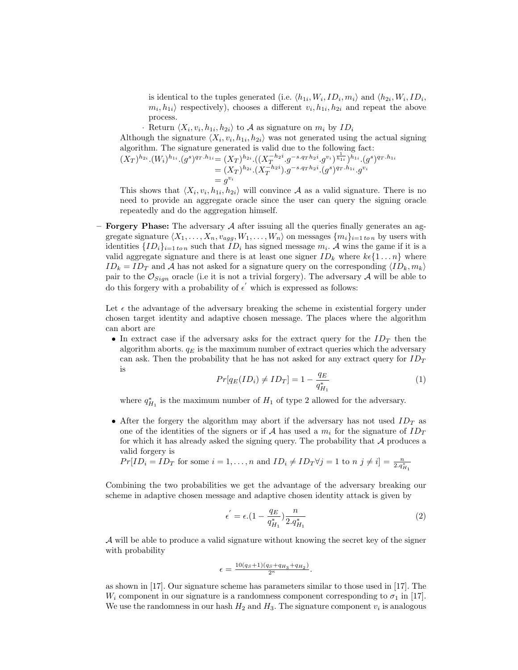is identical to the tuples generated (i.e.  $\langle h_{1i}, W_i, ID_i, m_i \rangle$  and  $\langle h_{2i}, W_i, ID_i,$  $m_i, h_{1i}$  respectively), chooses a different  $v_i, h_{1i}, h_{2i}$  and repeat the above process.

· Return  $\langle X_i, v_i, h_{1i}, h_{2i} \rangle$  to A as signature on  $m_i$  by  $ID_i$ Although the signature  $\langle X_i, v_i, h_{1i}, h_{2i} \rangle$  was not generated using the actual signing algorithm. The signature generated is valid due to the following fact:  $(X_T)^{h_{2i}}.(W_i)^{h_{1i}}.(g^s)^{q_T \cdot h_{1i}} = (X_T)^{h_{2i}}.((X_T^{-h_{2i}}.g^{-s.q_Th_{2i}}.g^{v_i})^{\frac{1}{h_{1i}}})^{h_{1i}}.(g^s)^{q_T \cdot h_{1i}}$ 

$$
\begin{aligned} \mathcal{A}(g^s)^{q_T.n_{1i}} &= (X_T)^{n_{2i}} \cdot ((X_T^{n_{2i}} \cdot g^{-s \cdot q_T n_{2i}} \cdot g^{v_i})^{h_{1i}})^{n_{1i}} \cdot (g^s)^{q_T.n_{1i}} \\ &= (X_T)^{h_{2i}} \cdot (X_T^{-h_{2i}}) \cdot g^{-s \cdot q_T h_{2i}} \cdot (g^s)^{q_T.n_{1i}} \cdot g^{v_i} \\ &= g^{v_i} \end{aligned}
$$

This shows that  $\langle X_i, v_i, h_{1i}, h_{2i} \rangle$  will convince A as a valid signature. There is no need to provide an aggregate oracle since the user can query the signing oracle repeatedly and do the aggregation himself.

– **Forgery Phase:** The adversary  $A$  after issuing all the queries finally generates an aggregate signature  $\langle X_1, \ldots, X_n, v_{agg}, W_1, \ldots, W_n \rangle$  on messages  $\{m_i\}_{i=1 \text{ to } n}$  by users with identities  $\{ID_i\}_{i=1 \text{ to } n}$  such that  $ID_i$  has signed message  $m_i$ . A wins the game if it is a valid aggregate signature and there is at least one signer  $ID_k$  where  $k \in \{1 \dots n\}$  where  $ID_k = ID_T$  and A has not asked for a signature query on the corresponding  $\langle ID_k, m_k \rangle$ pair to the  $\mathcal{O}_{Sign}$  oracle (i.e it is not a trivial forgery). The adversary A will be able to do this forgery with a probability of  $\epsilon'$  which is expressed as follows:

Let  $\epsilon$  the advantage of the adversary breaking the scheme in existential forgery under chosen target identity and adaptive chosen message. The places where the algorithm can abort are

• In extract case if the adversary asks for the extract query for the  $ID<sub>T</sub>$  then the algorithm aborts.  $q_E$  is the maximum number of extract queries which the adversary can ask. Then the probability that he has not asked for any extract query for  $ID_T$ is

$$
Pr[q_E(ID_i) \neq ID_T] = 1 - \frac{q_E}{q_{H_1}^*}
$$
\n(1)

where  $q_{H_1}^*$  is the maximum number of  $H_1$  of type 2 allowed for the adversary.

• After the forgery the algorithm may abort if the adversary has not used  $ID_T$  as one of the identities of the signers or if A has used a  $m_i$  for the signature of  $ID_T$ for which it has already asked the signing query. The probability that  $A$  produces a valid forgery is

 $Pr[ID_i = ID_T$  for some  $i = 1, ..., n$  and  $ID_i \neq ID_T \forall j = 1$  to  $n \ j \neq i] = \frac{n}{2 \cdot q_{H_1}^*}$ 

Combining the two probabilities we get the advantage of the adversary breaking our scheme in adaptive chosen message and adaptive chosen identity attack is given by

$$
\epsilon' = \epsilon \cdot (1 - \frac{q_E}{q_{H_1}^*}) \frac{n}{2 \cdot q_{H_1}^*}
$$
\n(2)

A will be able to produce a valid signature without knowing the secret key of the signer with probability

$$
\epsilon = \frac{10(q_S+1)(q_S+q_{H_3}+q_{H_2})}{2^{\kappa}}.
$$

as shown in [17]. Our signature scheme has parameters similar to those used in [17]. The  $W_i$  component in our signature is a randomness component corresponding to  $\sigma_1$  in [17]. We use the randomness in our hash  $H_2$  and  $H_3$ . The signature component  $v_i$  is analogous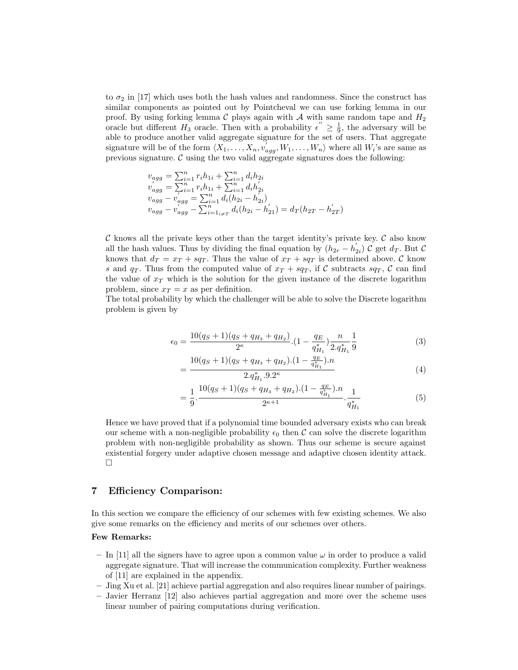to  $\sigma_2$  in [17] which uses both the hash values and randomness. Since the construct has similar components as pointed out by Pointcheval we can use forking lemma in our proof. By using forking lemma C plays again with A with same random tape and  $H_2$ oracle but different  $H_3$  oracle. Then with a probability  $\epsilon'' \geq \frac{1}{9}$ , the adversary will be able to produce another valid aggregate signature for the set of users. That aggregate signature will be of the form  $\langle X_1, \ldots, X_n, v'_{agg}, W_1, \ldots, W_n \rangle$  where all  $W_i$ 's are same as previous signature.  $\mathcal C$  using the two valid aggregate signatures does the following:

$$
v_{agg} = \sum_{i=1}^{n} r_i h_{1i} + \sum_{i=1}^{n} d_i h_{2i}
$$
  
\n
$$
v_{agg}' = \sum_{i=1}^{n} r_i h_{1i} + \sum_{i=1}^{n} d_i h_{2i}'
$$
  
\n
$$
v_{agg} - v_{agg}' = \sum_{i=1}^{n} d_i (h_{2i} - h_{2i}')
$$
  
\n
$$
v_{agg} - v_{agg}' - \sum_{i=1}^{n} d_i (h_{2i} - h_{21}') = d_T (h_{2T} - h_{2T}')
$$

C knows all the private keys other than the target identity's private key. C also know all the hash values. Thus by dividing the final equation by  $(h_{2r} - h'_{2i}) C$  get  $d_T$ . But C knows that  $d_T = x_T + sq_T$ . Thus the value of  $x_T + sq_T$  is determined above. C know s and  $q_T$ . Thus from the computed value of  $x_T + sq_T$ , if C subtracts  $sq_T$ , C can find the value of  $x<sub>T</sub>$  which is the solution for the given instance of the discrete logarithm problem, since  $x_T = x$  as per definition.

The total probability by which the challenger will be able to solve the Discrete logarithm problem is given by

$$
\epsilon_0 = \frac{10(q_S + 1)(q_S + q_{H_3} + q_{H_2})}{2^{\kappa}} \cdot \left(1 - \frac{q_E}{q_{H_1}^*}\right) \frac{n}{2 \cdot q_{H_1}^*} \frac{1}{9} \tag{3}
$$

$$
=\frac{10(q_S+1)(q_S+q_{H_3}+q_{H_2}).(1-\frac{q_E}{q_{H_1}^*}).n}{2.q_{H_1}^* .9.2^{\kappa}}
$$
\n(4)

$$
=\frac{1}{9}\cdot\frac{10(q_S+1)(q_S+q_{H_3}+q_{H_2})\cdot(1-\frac{q_E}{q_{H_1}^*})\cdot n}{2^{\kappa+1}}\cdot\frac{1}{q_{H_1}^*} \tag{5}
$$

Hence we have proved that if a polynomial time bounded adversary exists who can break our scheme with a non-negligible probability  $\epsilon_0$  then C can solve the discrete logarithm problem with non-negligible probability as shown. Thus our scheme is secure against existential forgery under adaptive chosen message and adaptive chosen identity attack.  $\Box$ 

### 7 Efficiency Comparison:

In this section we compare the efficiency of our schemes with few existing schemes. We also give some remarks on the efficiency and merits of our schemes over others.

### Few Remarks:

- In [11] all the signers have to agree upon a common value  $\omega$  in order to produce a valid aggregate signature. That will increase the communication complexity. Further weakness of [11] are explained in the appendix.
- Jing Xu et al. [21] achieve partial aggregation and also requires linear number of pairings.
- Javier Herranz [12] also achieves partial aggregation and more over the scheme uses linear number of pairing computations during verification.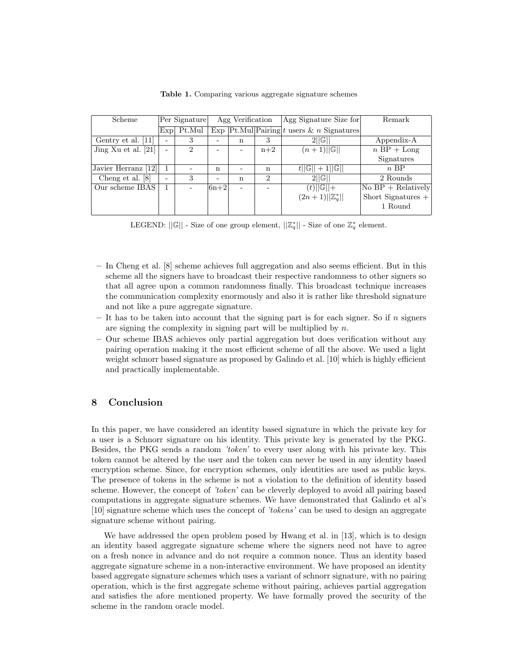| Scheme                | Per Signature |        | Agg Verification |   |                             | Agg Signature Size for                                                      | Remark                            |
|-----------------------|---------------|--------|------------------|---|-----------------------------|-----------------------------------------------------------------------------|-----------------------------------|
|                       | Exp           | Pt.Mul |                  |   |                             | $\overline{\text{Exp} \text{Pt.Mul} \text{Pairing} }t$ users & n Signatures |                                   |
| Gentry et al. [11]    |               | 3      |                  | n | 3                           | 2  G                                                                        | Appendix-A                        |
| Jing Xu et al. $[21]$ |               | 2      |                  |   | $n+2$                       | $(n+1)  \mathbb{G}  $                                                       | $n$ BP + Long                     |
|                       |               |        |                  |   |                             |                                                                             | Signatures                        |
| Javier Herranz [12]   |               |        | n                |   | n                           | $t  \mathbb{G}   + 1  \mathbb{G}  $                                         | $n$ BP                            |
| Cheng et al. [8]      | -             | 3      | -                | n | $\mathcal{D}_{\mathcal{L}}$ | 2  G                                                                        | 2 Rounds                          |
| Our scheme IBAS       |               |        | $ 6n+2 $         |   |                             | $(t)  \mathbb{G}  +$                                                        | $\overline{P}$ No BP + Relatively |
|                       |               |        |                  |   |                             | $(2n+1)  \mathbb{Z}_{q}^{*}  $                                              | Short Signatures $+$              |
|                       |               |        |                  |   |                             |                                                                             | 1 Round                           |
|                       |               |        |                  |   |                             |                                                                             |                                   |

Table 1. Comparing various aggregate signature schemes

LEGEND:  $||\mathbb{G}||$  - Size of one group element,  $||\mathbb{Z}_q^*||$  - Size of one  $\mathbb{Z}_q^*$  element.

- In Cheng et al. [8] scheme achieves full aggregation and also seems efficient. But in this scheme all the signers have to broadcast their respective randomness to other signers so that all agree upon a common randomness finally. This broadcast technique increases the communication complexity enormously and also it is rather like threshold signature and not like a pure aggregate signature.
- It has to be taken into account that the signing part is for each signer. So if  $n$  signers are signing the complexity in signing part will be multiplied by  $n$ .
- Our scheme IBAS achieves only partial aggregation but does verification without any pairing operation making it the most efficient scheme of all the above. We used a light weight schnorr based signature as proposed by Galindo et al. [10] which is highly efficient and practically implementable.

### 8 Conclusion

In this paper, we have considered an identity based signature in which the private key for a user is a Schnorr signature on his identity. This private key is generated by the PKG. Besides, the PKG sends a random *'token'* to every user along with his private key. This token cannot be altered by the user and the token can never be used in any identity based encryption scheme. Since, for encryption schemes, only identities are used as public keys. The presence of tokens in the scheme is not a violation to the definition of identity based scheme. However, the concept of *'token'* can be cleverly deployed to avoid all pairing based computations in aggregate signature schemes. We have demonstrated that Galindo et al's [10] signature scheme which uses the concept of *'tokens'* can be used to design an aggregate signature scheme without pairing.

We have addressed the open problem posed by Hwang et al. in [13], which is to design an identity based aggregate signature scheme where the signers need not have to agree on a fresh nonce in advance and do not require a common nonce. Thus an identity based aggregate signature scheme in a non-interactive environment. We have proposed an identity based aggregate signature schemes which uses a variant of schnorr signature, with no pairing operation, which is the first aggregate scheme without pairing, achieves partial aggregation and satisfies the afore mentioned property. We have formally proved the security of the scheme in the random oracle model.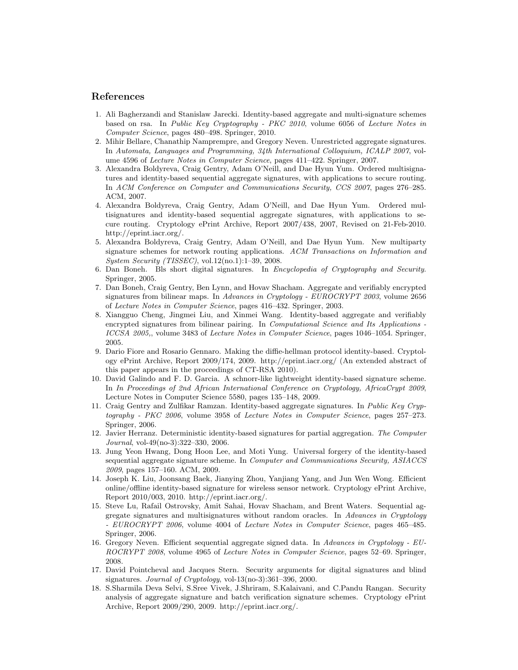### References

- 1. Ali Bagherzandi and Stanislaw Jarecki. Identity-based aggregate and multi-signature schemes based on rsa. In *Public Key Cryptography - PKC 2010*, volume 6056 of *Lecture Notes in Computer Science*, pages 480–498. Springer, 2010.
- 2. Mihir Bellare, Chanathip Namprempre, and Gregory Neven. Unrestricted aggregate signatures. In *Automata, Languages and Programming, 34th International Colloquium, ICALP 2007*, volume 4596 of *Lecture Notes in Computer Science*, pages 411–422. Springer, 2007.
- 3. Alexandra Boldyreva, Craig Gentry, Adam O'Neill, and Dae Hyun Yum. Ordered multisignatures and identity-based sequential aggregate signatures, with applications to secure routing. In *ACM Conference on Computer and Communications Security, CCS 2007*, pages 276–285. ACM, 2007.
- 4. Alexandra Boldyreva, Craig Gentry, Adam O'Neill, and Dae Hyun Yum. Ordered multisignatures and identity-based sequential aggregate signatures, with applications to secure routing. Cryptology ePrint Archive, Report 2007/438, 2007, Revised on 21-Feb-2010. http://eprint.iacr.org/.
- 5. Alexandra Boldyreva, Craig Gentry, Adam O'Neill, and Dae Hyun Yum. New multiparty signature schemes for network routing applications. *ACM Transactions on Information and System Security (TISSEC)*, vol.12(no.1):1–39, 2008.
- 6. Dan Boneh. Bls short digital signatures. In *Encyclopedia of Cryptography and Security*. Springer, 2005.
- 7. Dan Boneh, Craig Gentry, Ben Lynn, and Hovav Shacham. Aggregate and verifiably encrypted signatures from bilinear maps. In *Advances in Cryptology - EUROCRYPT 2003*, volume 2656 of *Lecture Notes in Computer Science*, pages 416–432. Springer, 2003.
- 8. Xiangguo Cheng, Jingmei Liu, and Xinmei Wang. Identity-based aggregate and verifiably encrypted signatures from bilinear pairing. In *Computational Science and Its Applications - ICCSA 2005,*, volume 3483 of *Lecture Notes in Computer Science*, pages 1046–1054. Springer, 2005.
- 9. Dario Fiore and Rosario Gennaro. Making the diffie-hellman protocol identity-based. Cryptology ePrint Archive, Report 2009/174, 2009. http://eprint.iacr.org/ (An extended abstract of this paper appears in the proceedings of CT-RSA 2010).
- 10. David Galindo and F. D. Garcia. A schnorr-like lightweight identity-based signature scheme. In *In Proceedings of 2nd African International Conference on Cryptology, AfricaCrypt 2009*, Lecture Notes in Computer Science 5580, pages 135–148, 2009.
- 11. Craig Gentry and Zulfikar Ramzan. Identity-based aggregate signatures. In *Public Key Cryptography - PKC 2006*, volume 3958 of *Lecture Notes in Computer Science*, pages 257–273. Springer, 2006.
- 12. Javier Herranz. Deterministic identity-based signatures for partial aggregation. *The Computer Journal*, vol-49(no-3):322–330, 2006.
- 13. Jung Yeon Hwang, Dong Hoon Lee, and Moti Yung. Universal forgery of the identity-based sequential aggregate signature scheme. In *Computer and Communications Security, ASIACCS 2009*, pages 157–160. ACM, 2009.
- 14. Joseph K. Liu, Joonsang Baek, Jianying Zhou, Yanjiang Yang, and Jun Wen Wong. Efficient online/offline identity-based signature for wireless sensor network. Cryptology ePrint Archive, Report 2010/003, 2010. http://eprint.iacr.org/.
- 15. Steve Lu, Rafail Ostrovsky, Amit Sahai, Hovav Shacham, and Brent Waters. Sequential aggregate signatures and multisignatures without random oracles. In *Advances in Cryptology - EUROCRYPT 2006*, volume 4004 of *Lecture Notes in Computer Science*, pages 465–485. Springer, 2006.
- 16. Gregory Neven. Efficient sequential aggregate signed data. In *Advances in Cryptology - EU-ROCRYPT 2008*, volume 4965 of *Lecture Notes in Computer Science*, pages 52–69. Springer, 2008.
- 17. David Pointcheval and Jacques Stern. Security arguments for digital signatures and blind signatures. *Journal of Cryptology*, vol-13(no-3):361–396, 2000.
- 18. S.Sharmila Deva Selvi, S.Sree Vivek, J.Shriram, S.Kalaivani, and C.Pandu Rangan. Security analysis of aggregate signature and batch verification signature schemes. Cryptology ePrint Archive, Report 2009/290, 2009. http://eprint.iacr.org/.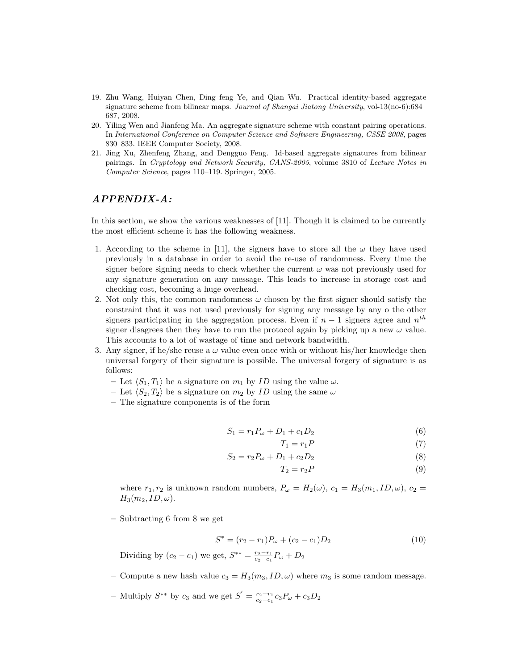- 19. Zhu Wang, Huiyan Chen, Ding feng Ye, and Qian Wu. Practical identity-based aggregate signature scheme from bilinear maps. *Journal of Shangai Jiatong University*, vol-13(no-6):684– 687, 2008.
- 20. Yiling Wen and Jianfeng Ma. An aggregate signature scheme with constant pairing operations. In *International Conference on Computer Science and Software Engineering, CSSE 2008*, pages 830–833. IEEE Computer Society, 2008.
- 21. Jing Xu, Zhenfeng Zhang, and Dengguo Feng. Id-based aggregate signatures from bilinear pairings. In *Cryptology and Network Security, CANS-2005*, volume 3810 of *Lecture Notes in Computer Science*, pages 110–119. Springer, 2005.

### *APPENDIX-A:*

In this section, we show the various weaknesses of [11]. Though it is claimed to be currently the most efficient scheme it has the following weakness.

- 1. According to the scheme in [11], the signers have to store all the  $\omega$  they have used previously in a database in order to avoid the re-use of randomness. Every time the signer before signing needs to check whether the current  $\omega$  was not previously used for any signature generation on any message. This leads to increase in storage cost and checking cost, becoming a huge overhead.
- 2. Not only this, the common randomness  $\omega$  chosen by the first signer should satisfy the constraint that it was not used previously for signing any message by any o the other signers participating in the aggregation process. Even if  $n-1$  signers agree and  $n<sup>th</sup>$ signer disagrees then they have to run the protocol again by picking up a new  $\omega$  value. This accounts to a lot of wastage of time and network bandwidth.
- 3. Any signer, if he/she reuse a  $\omega$  value even once with or without his/her knowledge then universal forgery of their signature is possible. The universal forgery of signature is as follows:
	- Let  $\langle S_1, T_1 \rangle$  be a signature on  $m_1$  by ID using the value  $\omega$ .
	- Let  $\langle S_2, T_2 \rangle$  be a signature on  $m_2$  by ID using the same  $\omega$
	- The signature components is of the form

$$
S_1 = r_1 P_\omega + D_1 + c_1 D_2 \tag{6}
$$

$$
T_1 = r_1 P \tag{7}
$$

$$
S_2 = r_2 P_\omega + D_1 + c_2 D_2 \tag{8}
$$

$$
T_2 = r_2 P \tag{9}
$$

where  $r_1, r_2$  is unknown random numbers,  $P_\omega = H_2(\omega)$ ,  $c_1 = H_3(m_1, ID, \omega)$ ,  $c_2 =$  $H_3(m_2, ID, \omega).$ 

– Subtracting 6 from 8 we get

$$
S^* = (r_2 - r_1)P_\omega + (c_2 - c_1)D_2 \tag{10}
$$

Dividing by  $(c_2 - c_1)$  we get,  $S^{**} = \frac{r_2 - r_1}{c_2 - c_1} P_\omega + D_2$ 

- Compute a new hash value  $c_3 = H_3(m_3, ID, \omega)$  where  $m_3$  is some random message.
- Multiply  $S^{**}$  by  $c_3$  and we get  $S' = \frac{r_2 r_1}{c_2 c_1} c_3 P_\omega + c_3 D_2$